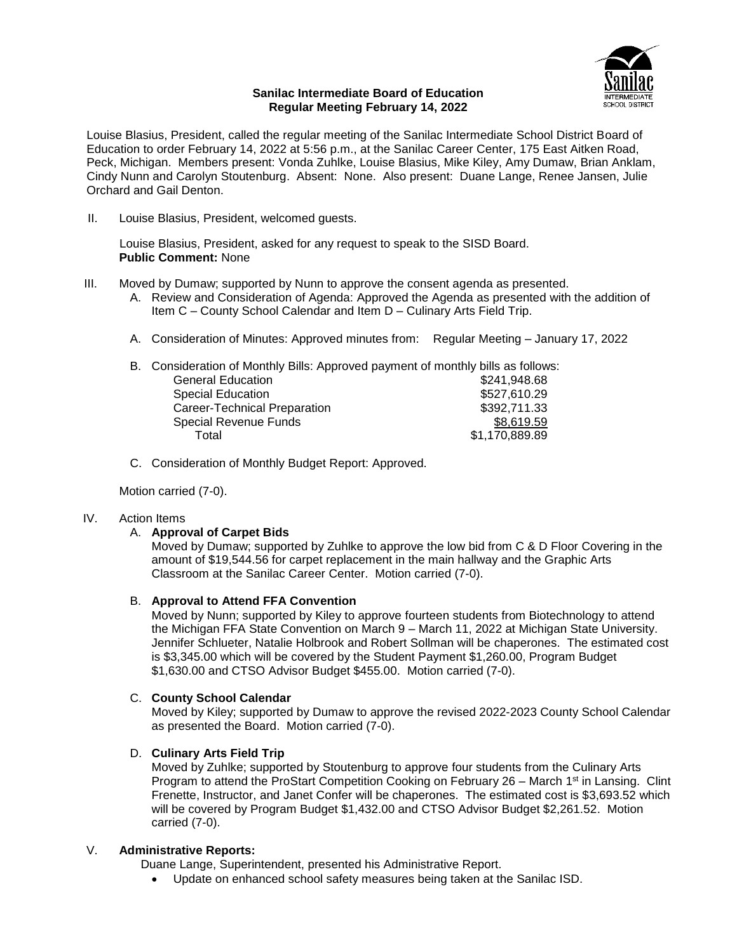

#### **Sanilac Intermediate Board of Education Regular Meeting February 14, 2022**

Louise Blasius, President, called the regular meeting of the Sanilac Intermediate School District Board of Education to order February 14, 2022 at 5:56 p.m., at the Sanilac Career Center, 175 East Aitken Road, Peck, Michigan. Members present: Vonda Zuhlke, Louise Blasius, Mike Kiley, Amy Dumaw, Brian Anklam, Cindy Nunn and Carolyn Stoutenburg. Absent: None. Also present: Duane Lange, Renee Jansen, Julie Orchard and Gail Denton.

II. Louise Blasius, President, welcomed guests.

Louise Blasius, President, asked for any request to speak to the SISD Board. **Public Comment:** None

- III. Moved by Dumaw; supported by Nunn to approve the consent agenda as presented.
	- A. Review and Consideration of Agenda: Approved the Agenda as presented with the addition of Item C – County School Calendar and Item D – Culinary Arts Field Trip.
	- A. Consideration of Minutes: Approved minutes from: Regular Meeting January 17, 2022

| B. Consideration of Monthly Bills: Approved payment of monthly bills as follows: |                |
|----------------------------------------------------------------------------------|----------------|
| <b>General Education</b>                                                         | \$241,948.68   |
| <b>Special Education</b>                                                         | \$527,610.29   |
| Career-Technical Preparation                                                     | \$392,711.33   |
| <b>Special Revenue Funds</b>                                                     | \$8,619.59     |
| Total                                                                            | \$1,170,889.89 |
|                                                                                  |                |

C. Consideration of Monthly Budget Report: Approved.

Motion carried (7-0).

# IV. Action Items

#### A. **Approval of Carpet Bids**

Moved by Dumaw; supported by Zuhlke to approve the low bid from C & D Floor Covering in the amount of \$19,544.56 for carpet replacement in the main hallway and the Graphic Arts Classroom at the Sanilac Career Center. Motion carried (7-0).

# B. **Approval to Attend FFA Convention**

Moved by Nunn; supported by Kiley to approve fourteen students from Biotechnology to attend the Michigan FFA State Convention on March 9 – March 11, 2022 at Michigan State University. Jennifer Schlueter, Natalie Holbrook and Robert Sollman will be chaperones. The estimated cost is \$3,345.00 which will be covered by the Student Payment \$1,260.00, Program Budget \$1,630.00 and CTSO Advisor Budget \$455.00. Motion carried (7-0).

# C. **County School Calendar**

Moved by Kiley; supported by Dumaw to approve the revised 2022-2023 County School Calendar as presented the Board. Motion carried (7-0).

# D. **Culinary Arts Field Trip**

Moved by Zuhlke; supported by Stoutenburg to approve four students from the Culinary Arts Program to attend the ProStart Competition Cooking on February 26 – March 1<sup>st</sup> in Lansing. Clint Frenette, Instructor, and Janet Confer will be chaperones. The estimated cost is \$3,693.52 which will be covered by Program Budget \$1,432.00 and CTSO Advisor Budget \$2,261.52. Motion carried (7-0).

#### V. **Administrative Reports:**

Duane Lange, Superintendent, presented his Administrative Report.

Update on enhanced school safety measures being taken at the Sanilac ISD.